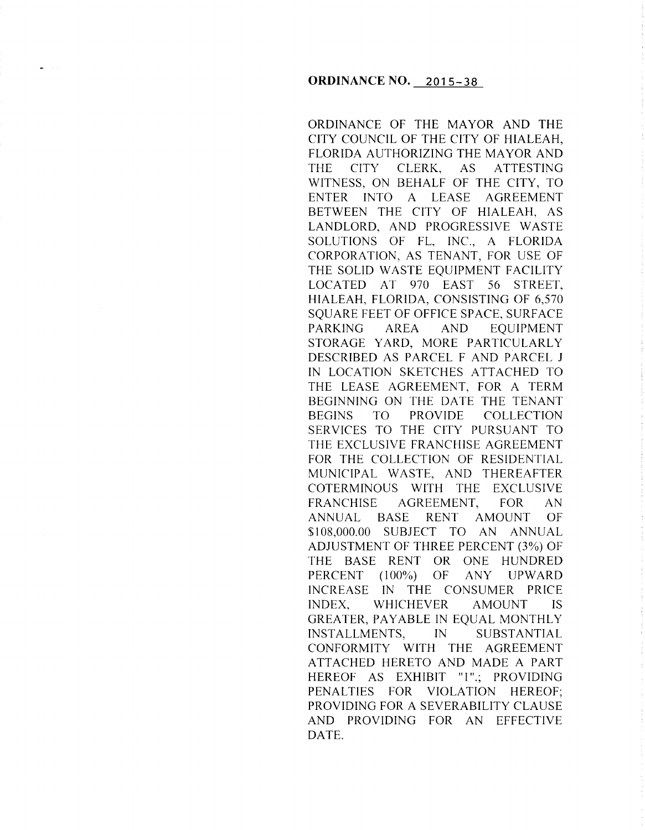ORDINANCE OF THE MAYOR AND THE CITY COUNCIL OF THE CITY OF HIALEAH, FLORIDA AUTHORIZING THE MAYOR AND THE CITY CLERK, AS ATTESTING WITNESS, ON BEHALF OF THE CITY, TO ENTER INTO A LEASE AGREEMENT BETWEEN THE CITY OF HIALEAH, AS LANDLORD, AND PROGRESSIVE WASTE SOLUTIONS OF FL, INC., A FLORIDA CORPORATION, AS TENANT, FOR USE OF THE SOLID WASTE EQUIPMENT FACILITY LOCATED AT 970 EAST 56 STREET, HIALEAH, FLORIDA, CONSISTING OF 6,570 SQUARE FEET OF OFFICE SPACE, SURFACE PARKING AREA AND EQUIPMENT STORAGE YARD, MORE PARTICULARLY DESCRIBED AS PARCEL F AND PARCEL J IN LOCATION SKETCHES ATTACHED TO THE LEASE AGREEMENT, FOR A TERM BEGINNING ON THE DATE THE TENANT BEGINS TO PROVIDE COLLECTION SERVICES TO THE CITY PURSUANT TO THE EXCLUSIVE FRANCHISE AGREEMENT FOR THE COLLECTION OF RESIDENTIAL MUNICIPAL WASTE, AND THEREAFTER COTERMINOUS WITH THE EXCLUSIVE FRANCHISE AGREEMENT, FOR AN ANNUAL BASE RENT AMOUNT OF \$108,000.00 SUBJECT TO AN ANNUAL ADJUSTMENT OF THREE PERCENT (3%) OF THE BASE RENT OR ONE HUNDRED PERCENT (100%) OF ANY UPWARD INCREASE IN THE CONSUMER PRICE INDEX, WHICHEVER AMOUNT IS GREATER, PAYABLE IN EQUAL MONTHLY INSTALLMENTS, IN SUBSTANTIAL CONFORMITY WITH THE AGREEMENT ATTACHED HERETO AND MADE A PART HEREOF AS EXHIBIT "1".; PROVIDING PENALTIES FOR VIOLATION HEREOF; PROVIDING FOR A SEVERABILITY CLAUSE AND PROVIDING FOR AN EFFECTIVE DATE.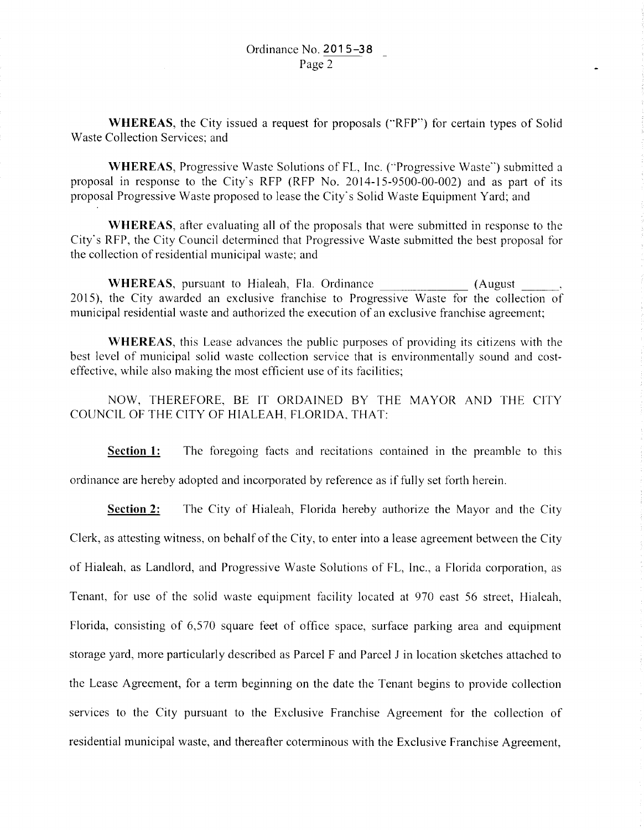**WHEREAS,** the City issued a request for proposals ("RFP") for certain types of Solid Waste Collection Services; and

**WHEREAS,** Progressive Waste Solutions of FL, Inc. ("'Progressive Waste") submitted a proposal in response to the City's RFP (RFP No. 2014-15-9500-00-002) and as part of its proposal Progressive Waste proposed to lease the City's Solid Waste Equipment Yard; and

**WHEREAS,** after evaluating all of the proposals that were submitted in response to the City's RFP, the City Council detennined that Progressive Waste submitted the best proposal for the collection of residential municipal waste; and

**WHEREAS,** pursuant to Hialeah, Fla. Ordinance (August --~ 2015), the City awarded an exclusive franchise to Progressive Waste for the collection of municipal residential waste and authorized the execution of an exclusive franchise agreement;

**WHEREAS,** this Lease advances the public purposes of providing its citizens with the best level of municipal solid waste collection service that is environmentally sound and costeffective, while also making the most efficient use of its facilities;

NOW, THEREFORE, BE IT ORDAINED BY THE MAYOR AND THE CITY COUNCIL OF THE CITY OF HIALEAH. FLORIDA. THAT:

**Section 1:** The foregoing facts and recitations contained in the preamble to this ordinance are hereby adopted and incorporated by reference as if fully set forth herein.

**Section 2:** The City of Hialeah, Florida hereby authorize the Mayor and the City Clerk, as attesting witness, on behalf of the City, to enter into a lease agreement between the City of Hialeah, as Landlord, and Progressive Waste Solutions of FL, Inc., a Florida corporation, as Tenant, for use of the solid waste equipment facility located at 970 east 56 street, Hialeah, Florida, consisting of 6,570 square feet of office space, surface parking area and equipment storage yard, more particularly described as Parcel F and Parcel J in location sketches attached to the Lease Agreement, for a term beginning on the date the Tenant begins to provide collection services to the City pursuant to the Exclusive Franchise Agreement for the collection of residential municipal waste, and thereafter coterminous with the Exclusive Franchise Agreement,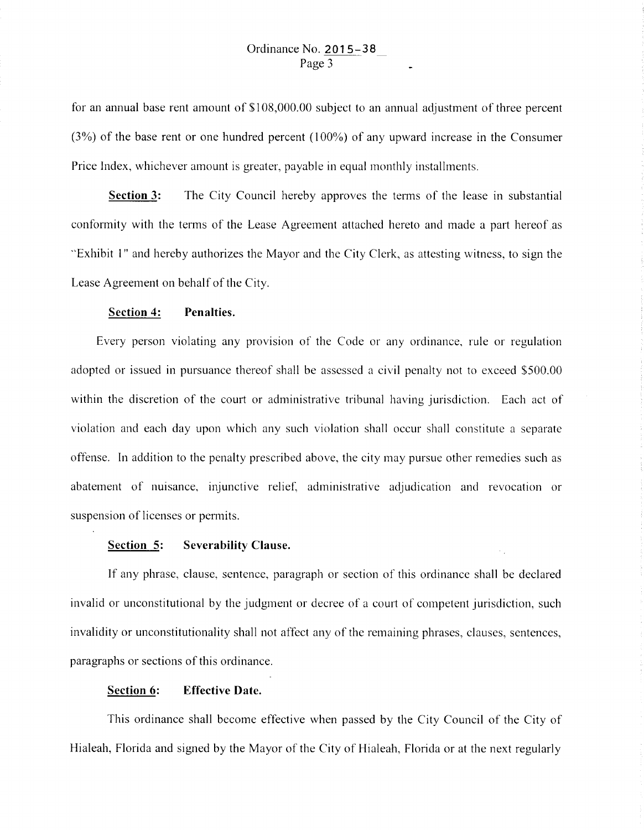for an annual base rent amount of \$108,000.00 subject to an annual adjustment of three percent (3%) of the base rent or one hundred percent ( 100%) of any upward increase in the Consumer Price Index, whichever amount is greater, payable in equal monthly installments.

**Section 3:** The City Council hereby approves the terms of the lease in substantial conformity with the tenns of the Lease Agreement attached hereto and made a part hereof as "Exhibit 1" and hereby authorizes the Mayor and the City Clerk, as attesting witness, to sign the Lease Agreement on behalf of the City.

## **Section 4: Penalties.**

Every person violating any provision of the Code or any ordinance, rule or regulation adopted or issued in pursuance thereof shall be assessed a civil penalty not to exceed \$500.00 within the discretion of the court or administrative tribunal having jurisdiction. Each act of violation and each day upon which any such violation shall occur shall constitute a separate offense. In addition to the penalty prescribed above, the city may pursue other remedies such as abatement of nuisance, injunctive relief, administrative adjudication and revocation or suspension of licenses or permits.

## **Section 5: Severability Clause.**

If any phrase, clause, sentence, paragraph or section of this ordinance shall be declared invalid or unconstitutional by the judgment or decree of a court of competent jurisdiction, such invalidity or unconstitutionality shall not affect any of the remaining phrases, clauses, sentences, paragraphs or sections of this ordinance.

## **Section 6: Effective Date.**

This ordinance shall become effective when passed by the City Council of the City of Hialeah, Florida and signed by the Mayor of the City of Hialeah, Florida or at the next regularly